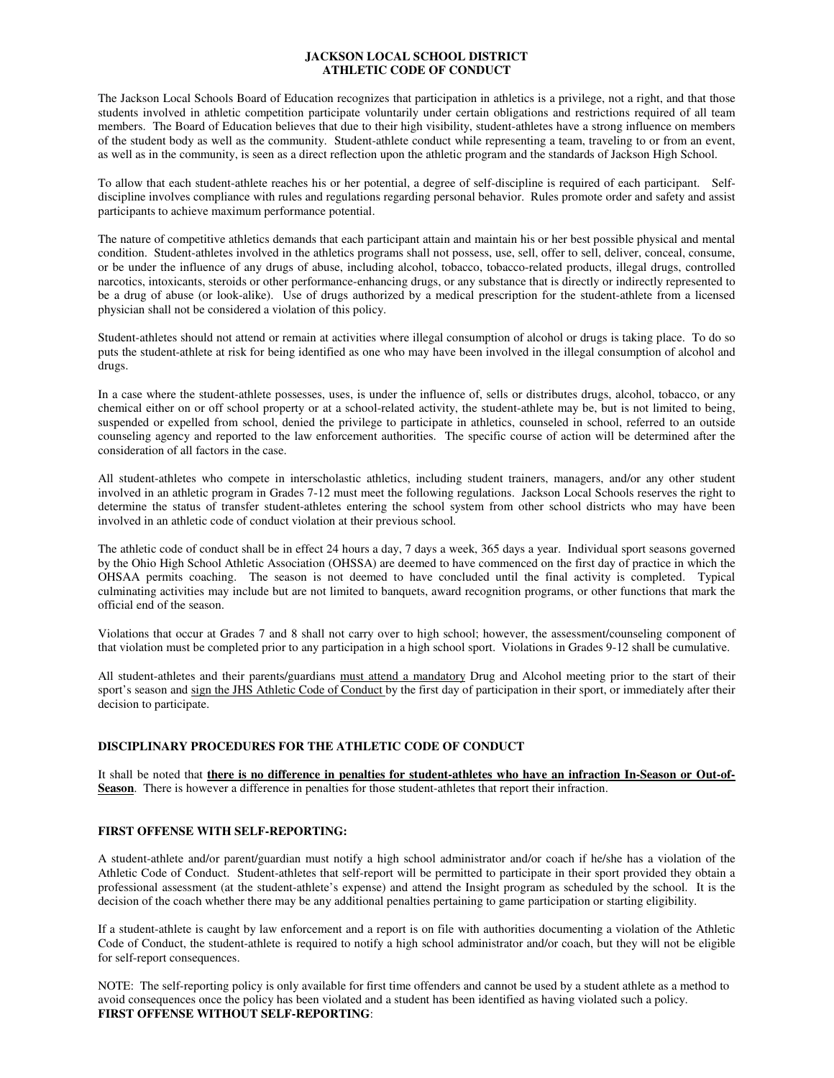## **JACKSON LOCAL SCHOOL DISTRICT ATHLETIC CODE OF CONDUCT**

The Jackson Local Schools Board of Education recognizes that participation in athletics is a privilege, not a right, and that those students involved in athletic competition participate voluntarily under certain obligations and restrictions required of all team members. The Board of Education believes that due to their high visibility, student-athletes have a strong influence on members of the student body as well as the community. Student-athlete conduct while representing a team, traveling to or from an event, as well as in the community, is seen as a direct reflection upon the athletic program and the standards of Jackson High School.

To allow that each student-athlete reaches his or her potential, a degree of self-discipline is required of each participant. Selfdiscipline involves compliance with rules and regulations regarding personal behavior. Rules promote order and safety and assist participants to achieve maximum performance potential.

The nature of competitive athletics demands that each participant attain and maintain his or her best possible physical and mental condition. Student-athletes involved in the athletics programs shall not possess, use, sell, offer to sell, deliver, conceal, consume, or be under the influence of any drugs of abuse, including alcohol, tobacco, tobacco-related products, illegal drugs, controlled narcotics, intoxicants, steroids or other performance-enhancing drugs, or any substance that is directly or indirectly represented to be a drug of abuse (or look-alike). Use of drugs authorized by a medical prescription for the student-athlete from a licensed physician shall not be considered a violation of this policy.

Student-athletes should not attend or remain at activities where illegal consumption of alcohol or drugs is taking place. To do so puts the student-athlete at risk for being identified as one who may have been involved in the illegal consumption of alcohol and drugs.

In a case where the student-athlete possesses, uses, is under the influence of, sells or distributes drugs, alcohol, tobacco, or any chemical either on or off school property or at a school-related activity, the student-athlete may be, but is not limited to being, suspended or expelled from school, denied the privilege to participate in athletics, counseled in school, referred to an outside counseling agency and reported to the law enforcement authorities. The specific course of action will be determined after the consideration of all factors in the case.

All student-athletes who compete in interscholastic athletics, including student trainers, managers, and/or any other student involved in an athletic program in Grades 7-12 must meet the following regulations. Jackson Local Schools reserves the right to determine the status of transfer student-athletes entering the school system from other school districts who may have been involved in an athletic code of conduct violation at their previous school.

The athletic code of conduct shall be in effect 24 hours a day, 7 days a week, 365 days a year. Individual sport seasons governed by the Ohio High School Athletic Association (OHSSA) are deemed to have commenced on the first day of practice in which the OHSAA permits coaching. The season is not deemed to have concluded until the final activity is completed. Typical culminating activities may include but are not limited to banquets, award recognition programs, or other functions that mark the official end of the season.

Violations that occur at Grades 7 and 8 shall not carry over to high school; however, the assessment/counseling component of that violation must be completed prior to any participation in a high school sport. Violations in Grades 9-12 shall be cumulative.

All student-athletes and their parents/guardians must attend a mandatory Drug and Alcohol meeting prior to the start of their sport's season and sign the JHS Athletic Code of Conduct by the first day of participation in their sport, or immediately after their decision to participate.

# **DISCIPLINARY PROCEDURES FOR THE ATHLETIC CODE OF CONDUCT**

It shall be noted that **there is no difference in penalties for student-athletes who have an infraction In-Season or Out-of-Season**. There is however a difference in penalties for those student-athletes that report their infraction.

# **FIRST OFFENSE WITH SELF-REPORTING:**

A student-athlete and/or parent/guardian must notify a high school administrator and/or coach if he/she has a violation of the Athletic Code of Conduct. Student-athletes that self-report will be permitted to participate in their sport provided they obtain a professional assessment (at the student-athlete's expense) and attend the Insight program as scheduled by the school. It is the decision of the coach whether there may be any additional penalties pertaining to game participation or starting eligibility.

If a student-athlete is caught by law enforcement and a report is on file with authorities documenting a violation of the Athletic Code of Conduct, the student-athlete is required to notify a high school administrator and/or coach, but they will not be eligible for self-report consequences.

NOTE: The self-reporting policy is only available for first time offenders and cannot be used by a student athlete as a method to avoid consequences once the policy has been violated and a student has been identified as having violated such a policy. **FIRST OFFENSE WITHOUT SELF-REPORTING**: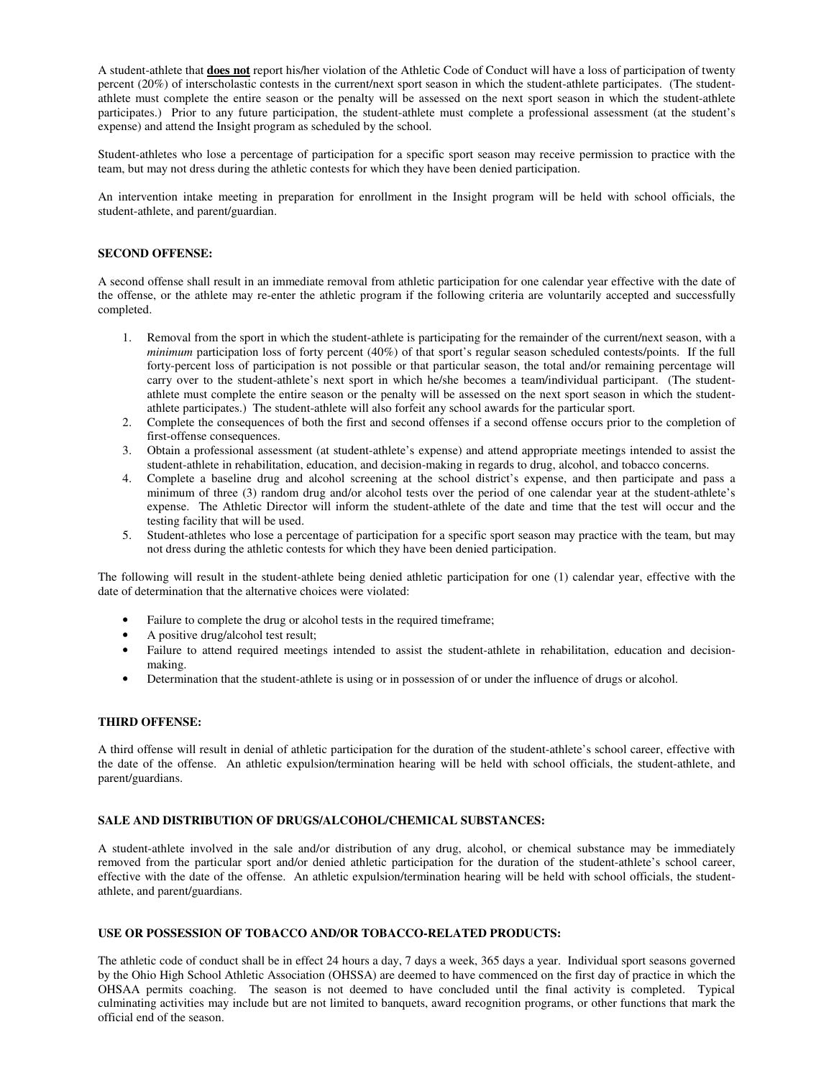A student-athlete that **does not** report his/her violation of the Athletic Code of Conduct will have a loss of participation of twenty percent (20%) of interscholastic contests in the current/next sport season in which the student-athlete participates. (The studentathlete must complete the entire season or the penalty will be assessed on the next sport season in which the student-athlete participates.) Prior to any future participation, the student-athlete must complete a professional assessment (at the student's expense) and attend the Insight program as scheduled by the school.

Student-athletes who lose a percentage of participation for a specific sport season may receive permission to practice with the team, but may not dress during the athletic contests for which they have been denied participation.

An intervention intake meeting in preparation for enrollment in the Insight program will be held with school officials, the student-athlete, and parent/guardian.

## **SECOND OFFENSE:**

A second offense shall result in an immediate removal from athletic participation for one calendar year effective with the date of the offense, or the athlete may re-enter the athletic program if the following criteria are voluntarily accepted and successfully completed.

- 1. Removal from the sport in which the student-athlete is participating for the remainder of the current/next season, with a *minimum* participation loss of forty percent (40%) of that sport's regular season scheduled contests/points. If the full forty-percent loss of participation is not possible or that particular season, the total and/or remaining percentage will carry over to the student-athlete's next sport in which he/she becomes a team/individual participant. (The studentathlete must complete the entire season or the penalty will be assessed on the next sport season in which the studentathlete participates.) The student-athlete will also forfeit any school awards for the particular sport.
- 2. Complete the consequences of both the first and second offenses if a second offense occurs prior to the completion of first-offense consequences.
- 3. Obtain a professional assessment (at student-athlete's expense) and attend appropriate meetings intended to assist the student-athlete in rehabilitation, education, and decision-making in regards to drug, alcohol, and tobacco concerns.
- 4. Complete a baseline drug and alcohol screening at the school district's expense, and then participate and pass a minimum of three (3) random drug and/or alcohol tests over the period of one calendar year at the student-athlete's expense. The Athletic Director will inform the student-athlete of the date and time that the test will occur and the testing facility that will be used.
- 5. Student-athletes who lose a percentage of participation for a specific sport season may practice with the team, but may not dress during the athletic contests for which they have been denied participation.

The following will result in the student-athlete being denied athletic participation for one (1) calendar year, effective with the date of determination that the alternative choices were violated:

- Failure to complete the drug or alcohol tests in the required timeframe;
- A positive drug/alcohol test result;
- Failure to attend required meetings intended to assist the student-athlete in rehabilitation, education and decisionmaking.
- Determination that the student-athlete is using or in possession of or under the influence of drugs or alcohol.

### **THIRD OFFENSE:**

A third offense will result in denial of athletic participation for the duration of the student-athlete's school career, effective with the date of the offense. An athletic expulsion/termination hearing will be held with school officials, the student-athlete, and parent/guardians.

## **SALE AND DISTRIBUTION OF DRUGS/ALCOHOL/CHEMICAL SUBSTANCES:**

A student-athlete involved in the sale and/or distribution of any drug, alcohol, or chemical substance may be immediately removed from the particular sport and/or denied athletic participation for the duration of the student-athlete's school career, effective with the date of the offense. An athletic expulsion/termination hearing will be held with school officials, the studentathlete, and parent/guardians.

### **USE OR POSSESSION OF TOBACCO AND/OR TOBACCO-RELATED PRODUCTS:**

The athletic code of conduct shall be in effect 24 hours a day, 7 days a week, 365 days a year. Individual sport seasons governed by the Ohio High School Athletic Association (OHSSA) are deemed to have commenced on the first day of practice in which the OHSAA permits coaching. The season is not deemed to have concluded until the final activity is completed. Typical culminating activities may include but are not limited to banquets, award recognition programs, or other functions that mark the official end of the season.